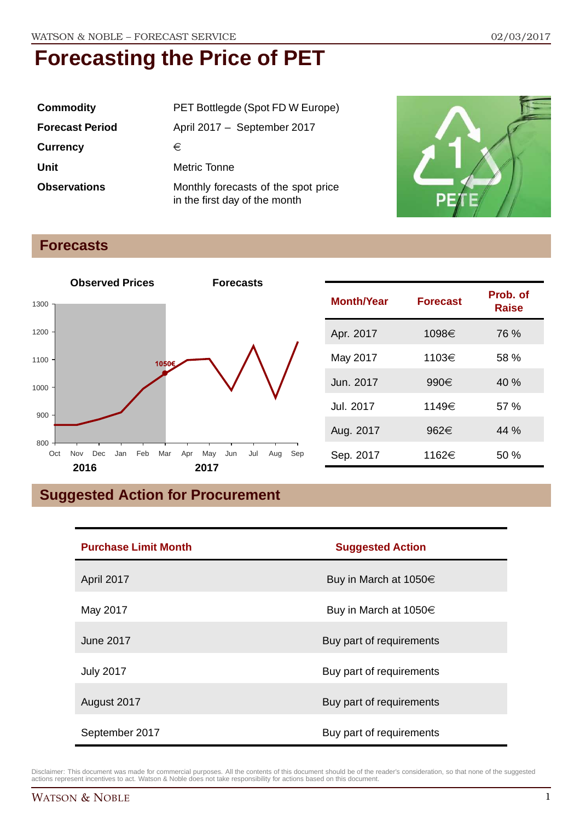| <b>Commodity</b>       | PET Bottlegde (Spot FD W Europe)                                     |
|------------------------|----------------------------------------------------------------------|
| <b>Forecast Period</b> | April 2017 - September 2017                                          |
| <b>Currency</b>        | €                                                                    |
| Unit                   | Metric Tonne                                                         |
| <b>Observations</b>    | Monthly forecasts of the spot price<br>in the first day of the month |



#### **Forecasts**



| <b>Month/Year</b> | <b>Forecast</b> | Prob. of<br><b>Raise</b> |
|-------------------|-----------------|--------------------------|
| Apr. 2017         | 1098€           | 76 %                     |
| May 2017          | 1103€           | 58 %                     |
| Jun. 2017         | 990€            | 40%                      |
| Jul. 2017         | 1149€           | 57%                      |
| Aug. 2017         | 962€            | 44%                      |
| Sep. 2017         | 1162€           | 50%                      |

### **Suggested Action for Procurement**

| <b>Purchase Limit Month</b> | <b>Suggested Action</b>    |  |
|-----------------------------|----------------------------|--|
| April 2017                  | Buy in March at $1050 \in$ |  |
| May 2017                    | Buy in March at $1050 \in$ |  |
| <b>June 2017</b>            | Buy part of requirements   |  |
| <b>July 2017</b>            | Buy part of requirements   |  |
| August 2017                 | Buy part of requirements   |  |
| September 2017              | Buy part of requirements   |  |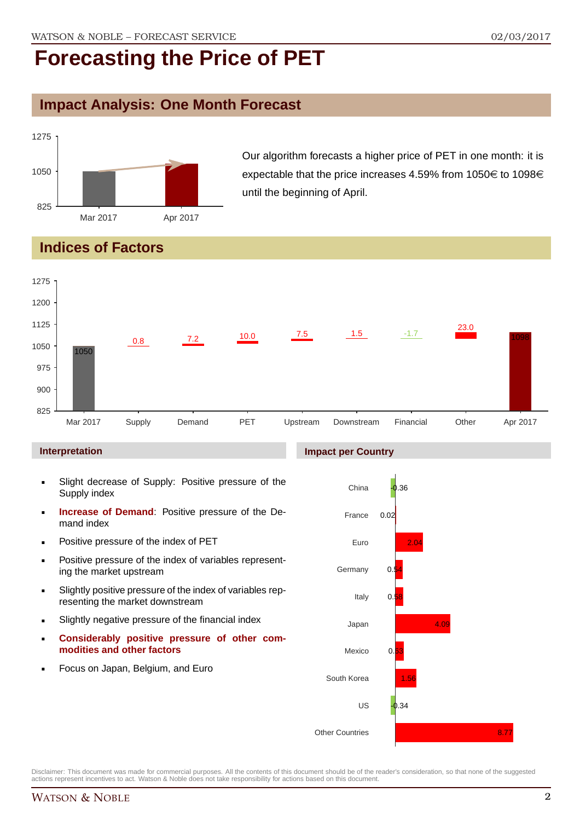### **Impact Analysis: One Month Forecast**



Our algorithm forecasts a higher price of PET in one month: it is expectable that the price increases 4.59% from 1050 $\in$  to 1098 $\in$ until the beginning of April.

### **Indices of Factors**



#### **Interpretation**

- Slight decrease of Supply: Positive pressure of the Supply index
- **Increase of Demand**: Positive pressure of the Demand index
- **Positive pressure of the index of PET**
- **Positive pressure of the index of variables represent**ing the market upstream
- Slightly positive pressure of the index of variables representing the market downstream
- Slightly negative pressure of the financial index
- **Considerably positive pressure of other commodities and other factors**
- **Focus on Japan, Belgium, and Euro**



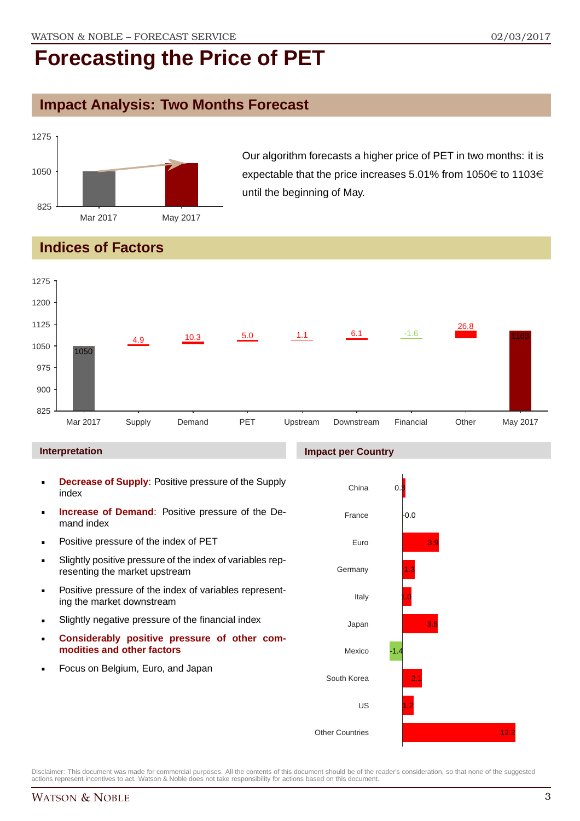### **Impact Analysis: Two Months Forecast**



Our algorithm forecasts a higher price of PET in two months: it is expectable that the price increases 5.01% from 1050 $\in$  to 1103 $\in$ until the beginning of May.

### **Indices of Factors**



#### **Interpretation**

- **Decrease of Supply**: Positive pressure of the Supply index
- **Increase of Demand**: Positive pressure of the Demand index
- **Positive pressure of the index of PET**
- Slightly positive pressure of the index of variables representing the market upstream
- **Positive pressure of the index of variables represent**ing the market downstream
- Slightly negative pressure of the financial index
- **Considerably positive pressure of other commodities and other factors**
- **Focus on Belgium, Euro, and Japan**



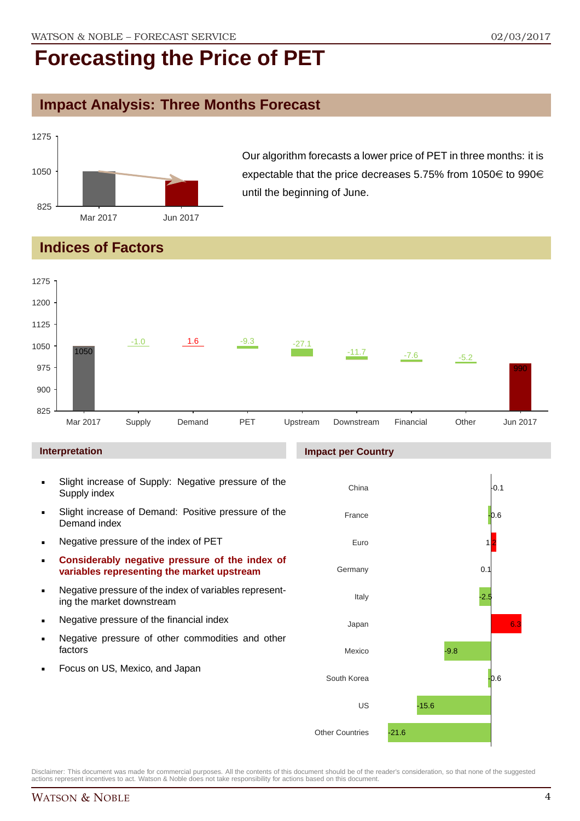### **Impact Analysis: Three Months Forecast**



Our algorithm forecasts a lower price of PET in three months: it is expectable that the price decreases 5.75% from 1050 $\in$  to 990 $\in$ until the beginning of June.

### **Indices of Factors**



- Negative pressure of the index of variables representing the market downstream
- **Negative pressure of the financial index**
- **Negative pressure of other commodities and other** factors
- Focus on US, Mexico, and Japan

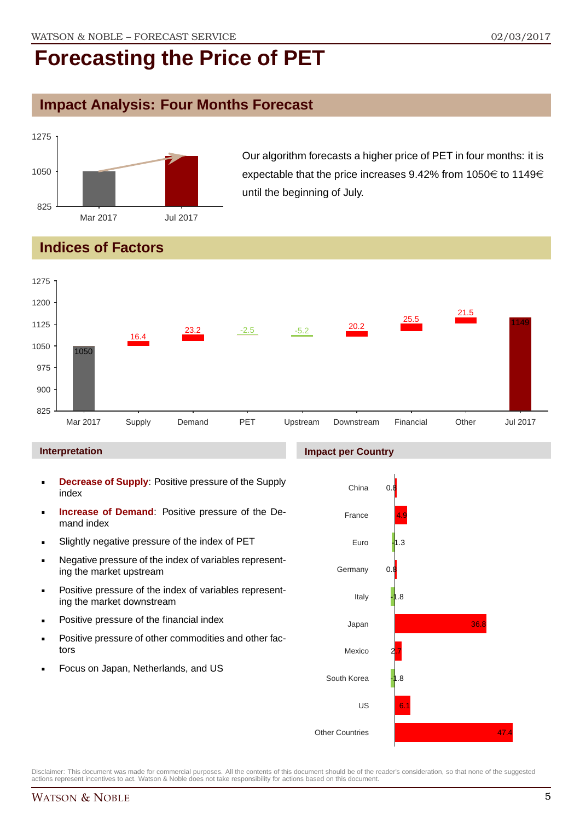### **Impact Analysis: Four Months Forecast**



Our algorithm forecasts a higher price of PET in four months: it is expectable that the price increases 9.42% from 1050 $\in$  to 1149 $\in$ until the beginning of July.

### **Indices of Factors**



#### **Interpretation**

- **Decrease of Supply**: Positive pressure of the Supply index
- **Increase of Demand**: Positive pressure of the Demand index
- Slightly negative pressure of the index of PET
- Negative pressure of the index of variables representing the market upstream
- **Positive pressure of the index of variables represent**ing the market downstream
- **•** Positive pressure of the financial index
- **Positive pressure of other commodities and other fac**tors
- Focus on Japan, Netherlands, and US

#### **Impact per Country**

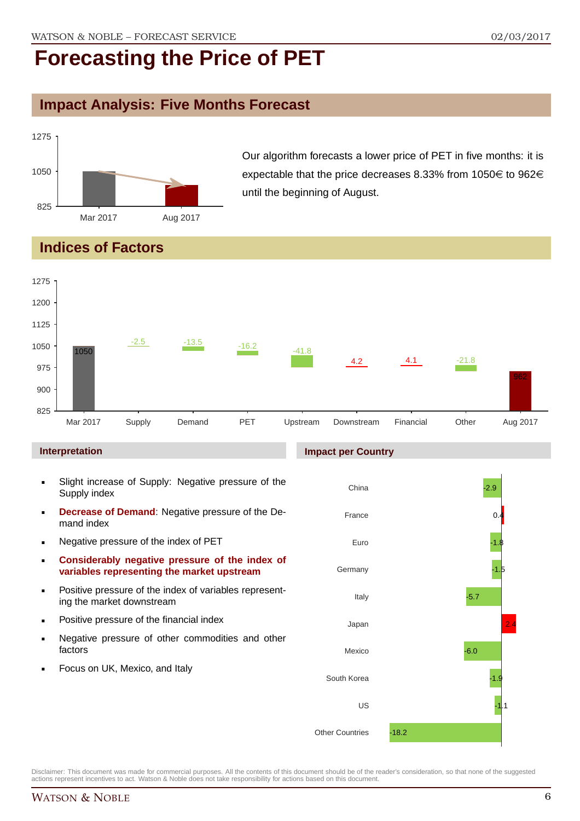### **Impact Analysis: Five Months Forecast**



Our algorithm forecasts a lower price of PET in five months: it is expectable that the price decreases 8.33% from 1050 $\in$  to 962 $\in$ until the beginning of August.

### **Indices of Factors**



#### **Interpretation**

- Slight increase of Supply: Negative pressure of the Supply index
- **Decrease of Demand**: Negative pressure of the Demand index
- **Negative pressure of the index of PET**
- **Considerably negative pressure of the index of variables representing the market upstream**
- Positive pressure of the index of variables representing the market downstream
- **•** Positive pressure of the financial index
- **Negative pressure of other commodities and other** factors
- Focus on UK, Mexico, and Italy

#### **Impact per Country**

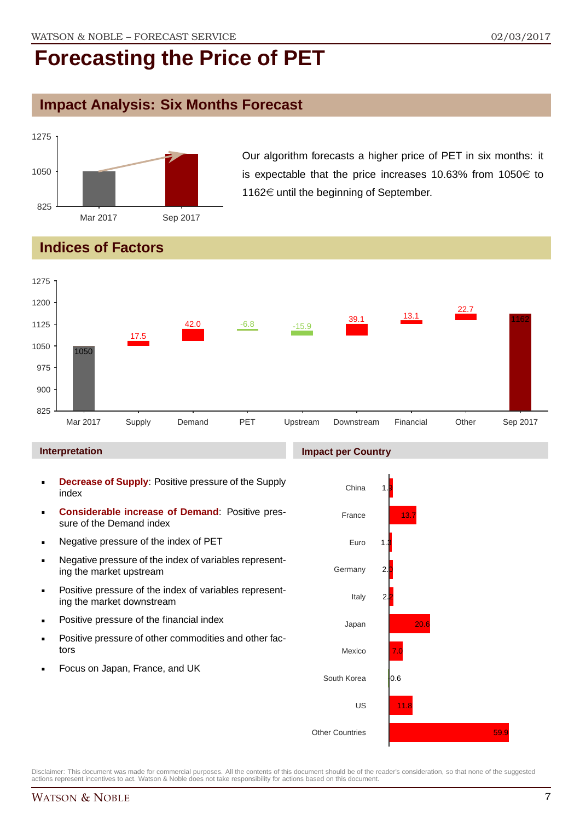### **Impact Analysis: Six Months Forecast**



Our algorithm forecasts a higher price of PET in six months: it is expectable that the price increases 10.63% from 1050 $\in$  to 1162 $\in$  until the beginning of September.

### **Indices of Factors**



#### **Interpretation**

- **Decrease of Supply**: Positive pressure of the Supply index
- **Considerable increase of Demand**: Positive pressure of the Demand index
- **Negative pressure of the index of PET**
- Negative pressure of the index of variables representing the market upstream
- **Positive pressure of the index of variables represent**ing the market downstream
- **•** Positive pressure of the financial index
- **Positive pressure of other commodities and other fac**tors
- Focus on Japan, France, and UK

#### **Impact per Country**

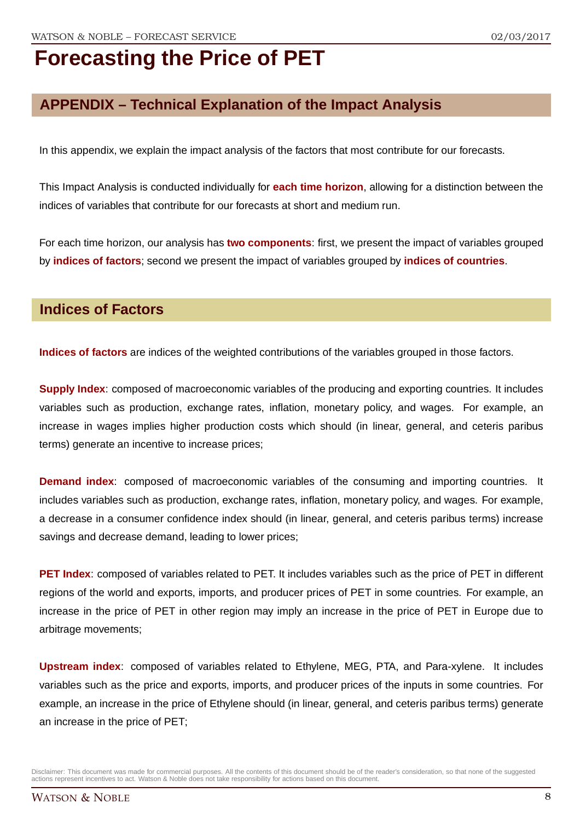### **APPENDIX – Technical Explanation of the Impact Analysis**

In this appendix, we explain the impact analysis of the factors that most contribute for our forecasts.

This Impact Analysis is conducted individually for **each time horizon**, allowing for a distinction between the indices of variables that contribute for our forecasts at short and medium run.

For each time horizon, our analysis has **two components**: first, we present the impact of variables grouped by **indices of factors**; second we present the impact of variables grouped by **indices of countries**.

### **Indices of Factors**

**Indices of factors** are indices of the weighted contributions of the variables grouped in those factors.

**Supply Index**: composed of macroeconomic variables of the producing and exporting countries. It includes variables such as production, exchange rates, inflation, monetary policy, and wages. For example, an increase in wages implies higher production costs which should (in linear, general, and ceteris paribus terms) generate an incentive to increase prices;

**Demand index**: composed of macroeconomic variables of the consuming and importing countries. It includes variables such as production, exchange rates, inflation, monetary policy, and wages. For example, a decrease in a consumer confidence index should (in linear, general, and ceteris paribus terms) increase savings and decrease demand, leading to lower prices;

**PET Index**: composed of variables related to PET. It includes variables such as the price of PET in different regions of the world and exports, imports, and producer prices of PET in some countries. For example, an increase in the price of PET in other region may imply an increase in the price of PET in Europe due to arbitrage movements;

**Upstream index**: composed of variables related to Ethylene, MEG, PTA, and Para-xylene. It includes variables such as the price and exports, imports, and producer prices of the inputs in some countries. For example, an increase in the price of Ethylene should (in linear, general, and ceteris paribus terms) generate an increase in the price of PET;